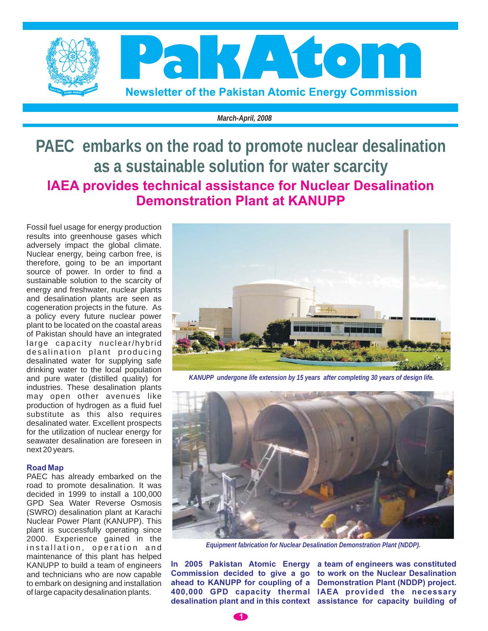

*March-April, 2008*

**PAEC embarks on the road to promote nuclear desalination as a sustainable solution for water scarcity IAEA provides technical assistance for Nuclear Desalination Demonstration Plant at KANUPP**

Fossil fuel usage for energy production results into greenhouse gases which adversely impact the global climate. Nuclear energy, being carbon free, is therefore, going to be an important source of power. In order to find a sustainable solution to the scarcity of energy and freshwater, nuclear plants and desalination plants are seen as cogeneration projects in the future. As a policy every future nuclear power plant to be located on the coastal areas of Pakistan should have an integrated large capacity nuclear/hybrid desalination plant producing desalinated water for supplying safe drinking water to the local population and pure water (distilled quality) for industries. These desalination plants may open other avenues like production of hydrogen as a fluid fuel substitute as this also requires desalinated water. Excellent prospects for the utilization of nuclear energy for seawater desalination are foreseen in next 20 years.

#### **Road Map**

PAEC has already embarked on the road to promote desalination. It was decided in 1999 to install a 100,000 GPD Sea Water Reverse Osmosis (SWRO) desalination plant at Karachi Nuclear Power Plant (KANUPP). This plant is successfully operating since 2000. Experience gained in the installation, operation and maintenance of this plant has helped KANUPP to build a team of engineers and technicians who are now capable to embark on designing and installation of large capacity desalination plants.



*KANUPP undergone life extension by 15 years after completing 30 years of design life.*



*Equipment fabrication for Nuclear Desalination Demonstration Plant (NDDP).*

**In 2005 Pakistan Atomic Energy a team of engineers was constituted Commission decided to give a go to work on the Nuclear Desalination ahead to KANUPP for coupling of a Demonstration Plant (NDDP) project. 400,000 GPD capacity thermal IAEA provided the necessary desalination plant and in this context assistance for capacity building of**

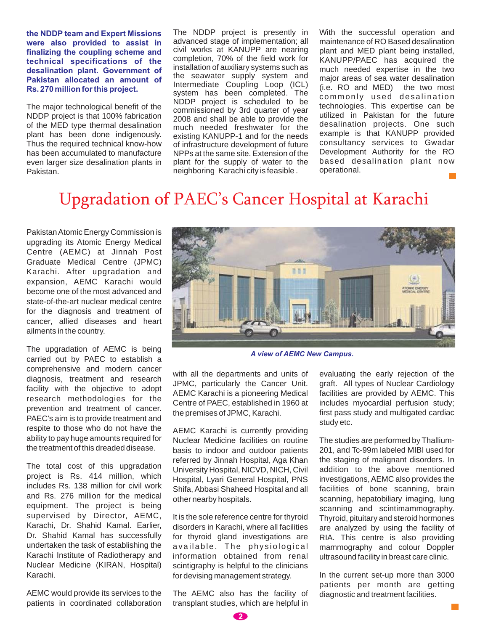**the NDDP team and Expert Missions were also provided to assist in finalizing the coupling scheme and technical specifications of the desalination plant. Government of Pakistan allocated an amount of Rs. 270 million for this project.**

The major technological benefit of the NDDP project is that 100% fabrication of the MED type thermal desalination plant has been done indigenously. Thus the required technical know-how has been accumulated to manufacture even larger size desalination plants in Pakistan.

The NDDP project is presently in advanced stage of implementation; all civil works at KANUPP are nearing completion, 70% of the field work for installation of auxiliary systems such as the seawater supply system and Intermediate Coupling Loop (ICL) system has been completed. The NDDP project is scheduled to be commissioned by 3rd quarter of year 2008 and shall be able to provide the much needed freshwater for the existing KANUPP-1 and for the needs of infrastructure development of future NPPs at the same site. Extension of the plant for the supply of water to the neighboring Karachi city is feasible .

With the successful operation and maintenance of RO Based desalination plant and MED plant being installed, KANUPP/PAEC has acquired the much needed expertise in the two major areas of sea water desalination (i.e. RO and MED) the two most commonly used desalination technologies. This expertise can be utilized in Pakistan for the future desalination projects. One such example is that KANUPP provided consultancy services to Gwadar Development Authority for the RO based desalination plant now operational.

## Upgradation of PAEC's Cancer Hospital at Karachi

PakistanAtomic Energy Commission is upgrading its Atomic Energy Medical Centre (AEMC) at Jinnah Post Graduate Medical Centre (JPMC) Karachi. After upgradation and expansion, AEMC Karachi would become one of the most advanced and state-of-the-art nuclear medical centre for the diagnosis and treatment of cancer, allied diseases and heart ailments in the country.

The upgradation of AEMC is being carried out by PAEC to establish a comprehensive and modern cancer diagnosis, treatment and research facility with the objective to adopt research methodologies for the prevention and treatment of cancer. PAEC's aim is to provide treatment and respite to those who do not have the ability to pay huge amounts required for the treatment of this dreaded disease.

The total cost of this upgradation project is Rs. 414 million, which includes Rs. 138 million for civil work and Rs. 276 million for the medical equipment. The project is being supervised by Director, AEMC, Karachi, Dr. Shahid Kamal. Earlier, Dr. Shahid Kamal has successfully undertaken the task of establishing the Karachi Institute of Radiotherapy and Nuclear Medicine (KIRAN, Hospital) Karachi.

AEMC would provide its services to the patients in coordinated collaboration



*A view of AEMC New Campus.*

with all the departments and units of JPMC, particularly the Cancer Unit. AEMC Karachi is a pioneering Medical Centre of PAEC, established in 1960 at the premises of JPMC, Karachi.

AEMC Karachi is currently providing Nuclear Medicine facilities on routine basis to indoor and outdoor patients referred by Jinnah Hospital, Aga Khan University Hospital, NICVD, NICH, Civil Hospital, Lyari General Hospital, PNS Shifa, Abbasi Shaheed Hospital and all other nearby hospitals.

It is the sole reference centre for thyroid disorders in Karachi, where all facilities for thyroid gland investigations are available. The physiological information obtained from renal scintigraphy is helpful to the clinicians for devising management strategy.

The AEMC also has the facility of transplant studies, which are helpful in

evaluating the early rejection of the graft. All types of Nuclear Cardiology facilities are provided by AEMC. This includes myocardial perfusion study; first pass study and multigated cardiac study etc.

The studies are performed by Thallium-201, and Tc-99m labeled MIBI used for the staging of malignant disorders. In addition to the above mentioned investigations, AEMC also provides the facilities of bone scanning, brain scanning, hepatobiliary imaging, lung scanning and scintimammography. Thyroid, pituitary and steroid hormones are analyzed by using the facility of RIA. This centre is also providing mammography and colour Doppler ultrasound facility in breast care clinic.

In the current set-up more than 3000 patients per month are getting diagnostic and treatment facilities.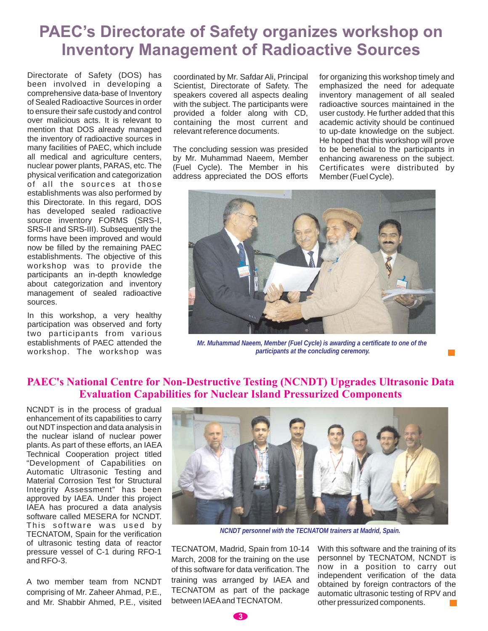## **PAEC's Directorate of Safety organizes workshop on Inventory Management of Radioactive Sources**

Directorate of Safety (DOS) has been involved in developing a comprehensive data-base of Inventory of Sealed Radioactive Sources in order to ensure their safe custody and control over malicious acts. It is relevant to mention that DOS already managed the inventory of radioactive sources in many facilities of PAEC, which include all medical and agriculture centers, nuclear power plants, PARAS, etc. The physical verification and categorization of all the sources at those establishments was also performed by this Directorate. In this regard, DOS has developed sealed radioactive source inventory FORMS (SRS-I, SRS-II and SRS-III). Subsequently the forms have been improved and would now be filled by the remaining PAEC establishments. The objective of this workshop was to provide the participants an in-depth knowledge about categorization and inventory management of sealed radioactive sources.

In this workshop, a very healthy participation was observed and forty two participants from various establishments of PAEC attended the workshop. The workshop was

coordinated by Mr. Safdar Ali, Principal Scientist, Directorate of Safety. The speakers covered all aspects dealing with the subject. The participants were provided a folder along with CD, containing the most current and relevant reference documents.

The concluding session was presided by Mr. Muhammad Naeem, Member (Fuel Cycle). The Member in his address appreciated the DOS efforts

for organizing this workshop timely and emphasized the need for adequate inventory management of all sealed radioactive sources maintained in the user custody. He further added that this academic activity should be continued to up-date knowledge on the subject. He hoped that this workshop will prove to be beneficial to the participants in enhancing awareness on the subject. Certificates were distributed by Member (Fuel Cycle).



*Mr. Muhammad Naeem, Member (Fuel Cycle) is awarding a certificate to one of the participants at the concluding ceremony.*

#### **PAEC's National Centre for Non-Destructive Testing (NCNDT) Upgrades Ultrasonic Data Evaluation Capabilities for Nuclear Island Pressurized Components**

NCNDT is in the process of gradual enhancement of its capabilities to carry out NDT inspection and data analysis in the nuclear island of nuclear power plants. As part of these efforts, an IAEA Technical Cooperation project titled "Development of Capabilities on Automatic Ultrasonic Testing and Material Corrosion Test for Structural Integrity Assessment" has been approved by IAEA. Under this project IAEA has procured a data analysis software called MESERA for NCNDT. This software was used by TECNATOM, Spain for the verification of ultrasonic testing data of reactor pressure vessel of C-1 during RFO-1 and RFO-3.

A two member team from NCNDT comprising of Mr. Zaheer Ahmad, P.E., and Mr. Shabbir Ahmed, P.E., visited



*NCNDT personnel with the TECNATOM trainers at Madrid, Spain.*

TECNATOM, Madrid, Spain from 10-14 March, 2008 for the training on the use of this software for data verification. The training was arranged by IAEA and TECNATOM as part of the package between IAEA and TECNATOM.

With this software and the training of its personnel by TECNATOM, NCNDT is now in a position to carry out independent verification of the data obtained by foreign contractors of the automatic ultrasonic testing of RPV and other pressurized components.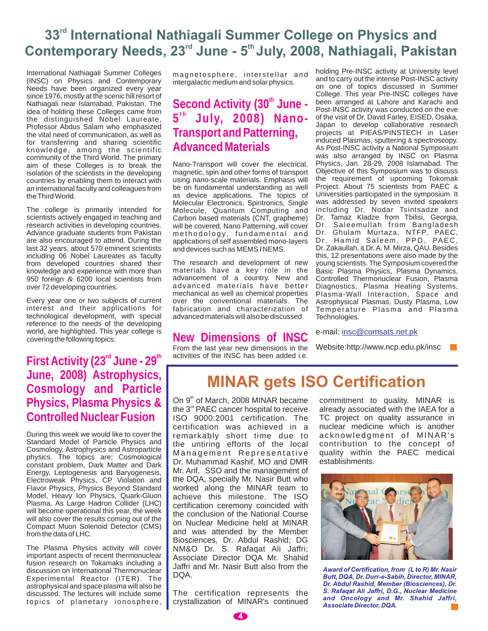### 33<sup>rd</sup> International Nathiagali Summer College on Physics and Contemporary Needs, 23<sup>rd</sup> June - 5<sup>th</sup> July, 2008, Nathiagali, Pakistan

International Nathiagali Summer Colleges (INSC) on Physics and Contemporary Needs have been organized every year since 1976, mostly at the scenic hill resort of Nathiagali near Islamabad, Pakistan. The idea of holding these Colleges came from the distinguished Nobel Laureate, Professor Abdus Salam who emphasized the vital need of communication, as well as for transferring and sharing scientific knowledge, among the scientific community of the Third World. The primary aim of these Colleges is to break the isolation of the scientists in the developing countries by enabling them to interact with an international faculty and colleagues from the Third World.

The college is primarily intended for scientists actively engaged in teaching and research activities in developing countries. Advance graduate students from Pakistan are also encouraged to attend. During the last 32 years, about 570 eminent scientists including 06 Nobel Laureates as faculty from developed countries shared their knowledge and experience with more than 950 foreign & 6200 local scientists from over 72 developing countries.

Every year one or two subjects of current interest and their applications for technological development, with special reference to the needs of the developing world, are highlighted. This year college is covering the following topics:

First Activity (23<sup>rd</sup> June - 29<sup>th</sup> **June, 2008) Astrophysics, Cosmology and Particle Physics, Plasma Physics & Controlled Nuclear Fusion**

During this week we would like to cover the Standard Model of Particle Physics and Cosmology, Astrophysics and Astroparticle physics. The topics are; Cosmological constant problem, Dark Matter and Dark Energy, Leptogenesis and Baryogenesis, Electroweak Physics, CP Violation and Flavor Physics, Physics Beyond Standard Model, Heavy Ion Physics, Quark-Gluon Plasma. As Large Hadron Collider (LHC) will become operational this year, the week will also cover the results coming out of the Compact Muon Solenoid Detector (CMS) from the data of LHC.

The Plasma Physics activity will cover important aspects of recent thermonuclear fusion research on Tokamaks including a discussion on International Thermonuclear Experimental Reactor (ITER). The astrophysical and space plasma will also be discussed. The lectures will include some topics of planetary ionosphere,

magnetosphere, interstellar and intergalactic medium and solar physics.

### Second Activity (30<sup>th</sup> June -**5 July, 2008) Nano-t h Transport and Patterning, Advanced Materials**

Nano-Transport will cover the electrical, magnetic, spin and other forms of transport using nano-scale materials. Emphasis will be on fundamental understanding as well as device applications. The topics of Molecular Electronics, Spintronics, Single Molecule, Quantum Computing and Carbon based materials (CNT, grapheme) will be covered. Nano Patterning, will cover methodology, fundamental and applications of self assembled mono-layers and devices such as MEMS / NEMS.

The research and development of new materials have a key role in the advancement of a country. New and advanced materials have better mechanical as well as chemical properties over the conventional materials. The fabrication and characterization of advanced materials will also be discussed.

### **New Dimensions of INSC**

From the last year new dimensions in the activities of the INSC has been added i.e.

holding Pre-INSC activity at University level and to carry out the intense Post-INSC activity on one of topics discussed in Summer College. This year Pre-INSC colleges have been arranged at Lahore and Karachi and Post-INSC activity was conducted on the eve of the visit of Dr. David Farley, EISED, Osaka, Japan to develop collaborative research projects at PIEAS/PINSTECH in Laser induced Plasmas, sputtering & spectroscopy. As Post-INSC activity a National Symposium was also arranged by INSC on Plasma Physics, Jan. 28-29, 2008 Islamabad. The Objective of this Symposium was to discuss the requirement of upcoming Tokomak Project. About 75 scientists from PAEC & Universities participated in the symposium. It was addressed by seven invited speakers including Dr. Nodar Tsintsadze and Dr. Tamaz Kladze from Tbilisi, Georgia, Dr. Saleemullah from Bangladesh Dr. Ghulam Murtaza, NTFP, PAEC, Dr. Hamid Saleem, PPD, PAEC, Dr. Zakaullah, & Dr. A. M. Mirza, QAU. Besides this, 12 presentations were also made by the young scientists. The Symposium covered the Basic Plasma Physics, Plasma Dynamics, Controlled Thermonuclear Fusion, Plasma Diagnostics, Plasma Heating Systems, Plasma-Wall Interaction, Space and Astrophysical Plasmas, Dusty Plasma, Low Temperature Plasma and Plasma Technologies.

e-mail: insc@comsats.net.pk

Website:http://www.ncp.edu.pk/insc

# **MINAR gets ISO Certification**

On 9<sup>th</sup> of March, 2008 MINAR became the  $3<sup>rd</sup>$  PAEC cancer hospital to receive ISO 9000:2001 certification. The certification was achieved in a remarkably short time due to the untiring efforts of the local Management Representative Dr. Muhammad Kashif, MO and DMR Mr. Arif, SSO and the management of the DQA, specially Mr. Nasir Butt who worked along the MINAR team to achieve this milestone. The ISO certification ceremony coincided with the conclusion of the National Course on Nuclear Medicine held at MINAR and was attended by the Member Biosciences, Dr. Abdul Rashid; DG NM&O Dr. S. Rafaqat Ali Jaffri; Associate Director DQA Mr. Shahid Jaffri and Mr. Nasir Butt also from the DQA.

The certification represents the crystallization of MINAR's continued

commitment to quality. MINAR is already associated with the IAEA for a TC project on quality assurance in nuclear medicine which is another acknowledgment of MINAR's contribution to the concept of quality within the PAEC medical establishments.



*Award of Certification, from (L to R) Mr. Nasir Butt, DQA, Dr. Durr-e-Sabih, Director, MINAR, Dr. Abdul Rashid, Member (Biosciences), Dr. S. Rafaqat Ali Jaffri, D.G., Nuclear Medicine and Oncology and Mr. Shahid Jaffri, Associate Director, DQA.*

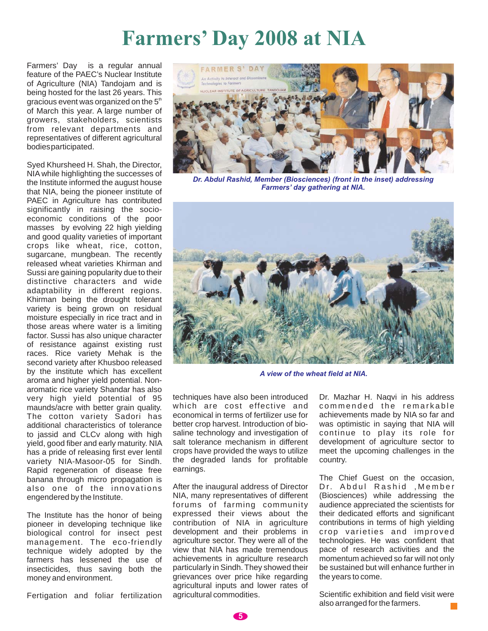# **Farmers' Day 2008 at NIA**

Farmers' Day is a regular annual feature of the PAEC's Nuclear Institute of Agriculture (NIA) Tandojam and is being hosted for the last 26 years. This gracious event was organized on the  $5<sup>th</sup>$ of March this year. A large number of growers, stakeholders, scientists from relevant departments and representatives of different agricultural bodiesparticipated.

Syed Khursheed H. Shah, the Director, NIA while highlighting the successes of the Institute informed the august house that NIA, being the pioneer institute of PAEC in Agriculture has contributed significantly in raising the socioeconomic conditions of the poor masses by evolving 22 high yielding and good quality varieties of important crops like wheat, rice, cotton, sugarcane, mungbean. The recently released wheat varieties Khirman and Sussi are gaining popularity due to their distinctive characters and wide adaptability in different regions. Khirman being the drought tolerant variety is being grown on residual moisture especially in rice tract and in those areas where water is a limiting factor. Sussi has also unique character of resistance against existing rust races. Rice variety Mehak is the second variety after Khusboo released by the institute which has excellent aroma and higher yield potential. Nonaromatic rice variety Shandar has also very high yield potential of 95 maunds/acre with better grain quality. The cotton variety Sadori has additional characteristics of tolerance to jassid and CLCv along with high yield, good fiber and early maturity. NIA has a pride of releasing first ever lentil variety NIA-Masoor-05 for Sindh. Rapid regeneration of disease free banana through micro propagation is also one of the innovations engendered by the Institute.

The Institute has the honor of being pioneer in developing technique like biological control for insect pest management. The eco-friendly technique widely adopted by the farmers has lessened the use of insecticides, thus saving both the money and environment.

Fertigation and foliar fertilization



*Dr. Abdul Rashid, Member (Biosciences) (front in the inset) addressing Farmers' day gathering at NIA.*



*A view of the wheat field at NIA.*

techniques have also been introduced which are cost effective and economical in terms of fertilizer use for better crop harvest. Introduction of biosaline technology and investigation of salt tolerance mechanism in different crops have provided the ways to utilize the degraded lands for profitable earnings.

After the inaugural address of Director NIA, many representatives of different forums of farming community expressed their views about the contribution of NIA in agriculture development and their problems in agriculture sector. They were all of the view that NIA has made tremendous achievements in agriculture research particularly in Sindh. They showed their grievances over price hike regarding agricultural inputs and lower rates of agricultural commodities.

Dr. Mazhar H. Naqvi in his address commended the remarkable achievements made by NIA so far and was optimistic in saying that NIA will continue to play its role for development of agriculture sector to meet the upcoming challenges in the country.

The Chief Guest on the occasion, Dr. Abdul Rashid ,Member (Biosciences) while addressing the audience appreciated the scientists for their dedicated efforts and significant contributions in terms of high yielding crop varieties and improved technologies. He was confident that pace of research activities and the momentum achieved so far will not only be sustained but will enhance further in the years to come.

Scientific exhibition and field visit were also arranged for the farmers.

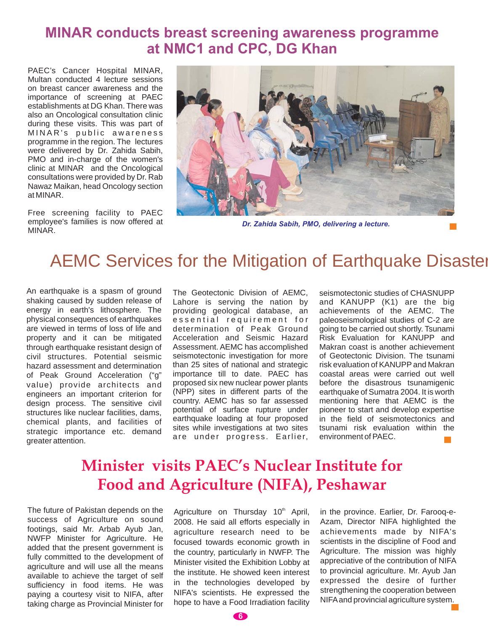### **MINAR conducts breast screening awareness programme at NMC1 and CPC, DG Khan**

PAEC's Cancer Hospital MINAR, Multan conducted 4 lecture sessions on breast cancer awareness and the importance of screening at PAEC establishments at DG Khan. There was also an Oncological consultation clinic during these visits. This was part of MINAR's public awareness programme in the region. The lectures were delivered by Dr. Zahida Sabih, PMO and in-charge of the women's clinic at MINAR and the Oncological consultations were provided by Dr. Rab Nawaz Maikan, head Oncology section at MINAR.

Free screening facility to PAEC employee's families is now offered at MINAR.



*Dr. Zahida Sabih, PMO, delivering a lecture.*

## AEMC Services for the Mitigation of Earthquake Disaster

An earthquake is a spasm of ground shaking caused by sudden release of energy in earth's lithosphere. The physical consequences of earthquakes are viewed in terms of loss of life and property and it can be mitigated through earthquake resistant design of civil structures. Potential seismic hazard assessment and determination of Peak Ground Acceleration ("g" value) provide architects and engineers an important criterion for design process. The sensitive civil structures like nuclear facilities, dams, chemical plants, and facilities of strategic importance etc. demand greater attention.

The Geotectonic Division of AEMC, Lahore is serving the nation by providing geological database, an essential requirement for determination of Peak Ground Acceleration and Seismic Hazard Assessment. AEMC has accomplished seismotectonic investigation for more than 25 sites of national and strategic importance till to date. PAEC has proposed six new nuclear power plants (NPP) sites in different parts of the country. AEMC has so far assessed potential of surface rupture under earthquake loading at four proposed sites while investigations at two sites are under progress. Earlier,

seismotectonic studies of CHASNUPP and KANUPP (K1) are the big achievements of the AEMC. The paleoseismological studies of C-2 are going to be carried out shortly. Tsunami Risk Evaluation for KANUPP and Makran coast is another achievement of Geotectonic Division. The tsunami risk evaluation of KANUPP and Makran coastal areas were carried out well before the disastrous tsunamigenic earthquake of Sumatra 2004. It is worth mentioning here that AEMC is the pioneer to start and develop expertise in the field of seismotectonics and tsunami risk evaluation within the environment of PAEC.

## **Minister visits PAEC's Nuclear Institute for Food and Agriculture (NIFA), Peshawar**

The future of Pakistan depends on the success of Agriculture on sound footings, said Mr. Arbab Ayub Jan, NWFP Minister for Agriculture. He added that the present government is fully committed to the development of agriculture and will use all the means available to achieve the target of self sufficiency in food items. He was paying a courtesy visit to NIFA, after taking charge as Provincial Minister for Agriculture on Thursday 10<sup>th</sup> April, 2008. He said all efforts especially in agriculture research need to be focused towards economic growth in the country, particularly in NWFP. The Minister visited the Exhibition Lobby at the institute. He showed keen interest in the technologies developed by NIFA's scientists. He expressed the hope to have a Food Irradiation facility in the province. Earlier, Dr. Farooq-e-Azam, Director NIFA highlighted the achievements made by NIFA's scientists in the discipline of Food and Agriculture. The mission was highly appreciative of the contribution of NIFA to provincial agriculture. Mr. Ayub Jan expressed the desire of further strengthening the cooperation between NIFAand provincial agriculture system.

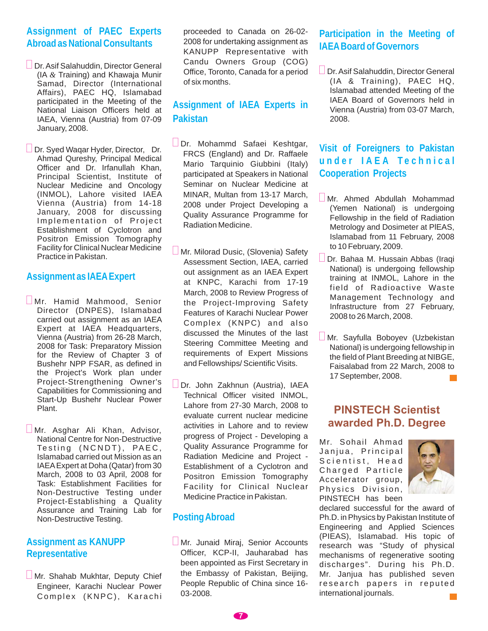#### **Assignment of PAEC Experts Abroad as National Consultants**

- **Dr.** Asif Salahuddin, Director General (IA & Training) and Khawaja Munir Samad, Director (International Affairs), PAEC HQ, Islamabad participated in the Meeting of the National Liaison Officers held at IAEA, Vienna (Austria) from 07-09 January, 2008.
- Dr. Syed Waqar Hyder, Director, Dr. Ahmad Qureshy, Principal Medical Officer and Dr. Irfanullah Khan, Principal Scientist, Institute of Nuclear Medicine and Oncology (INMOL), Lahore visited IAEA Vienna (Austria) from 14-18 January, 2008 for discussing Implementation of Project Establishment of Cyclotron and Positron Emission Tomography Facility for Clinical Nuclear Medicine Practice in Pakistan.

#### **Assignment as IAEAExpert**

- $\square$ Mr. Hamid Mahmood, Senior Director (DNPES), Islamabad carried out assignment as an IAEA Expert at IAEA Headquarters, Vienna (Austria) from 26-28 March, 2008 for Task: Preparatory Mission for the Review of Chapter 3 of Bushehr NPP FSAR, as defined in the Project's Work plan under Project-Strengthening Owner's Capabilities for Commissioning and Start-Up Bushehr Nuclear Power Plant.
- Mr. Asghar Ali Khan, Advisor, National Centre for Non-Destructive Testing (NCNDT), PAEC, Islamabad carried out Mission as an IAEAExpert at Doha (Qatar) from 30 March, 2008 to 03 April, 2008 for Task: Establishment Facilities for Non-Destructive Testing under Project-Establishing a Quality Assurance and Training Lab for Non-Destructive Testing.

#### **Assignment as KANUPP Representative**

**Mr. Shahab Mukhtar, Deputy Chief** Engineer, Karachi Nuclear Power Complex (KNPC), Karachi proceeded to Canada on 26-02- 2008 for undertaking assignment as KANUPP Representative with Candu Owners Group (COG) Office, Toronto, Canada for a period of six months.

#### **Assignment of IAEA Experts in Pakistan**

- Dr. Mohammd Safaei Keshtgar, FRCS (England) and Dr. Raffaele Mario Tarquinio Giubbini (Italy) participated at Speakers in National Seminar on Nuclear Medicine at MINAR, Multan from 13-17 March, 2008 under Project Developing a Quality Assurance Programme for Radiation Medicine.
- **Mr. Milorad Dusic, (Slovenia) Safety** Assessment Section, IAEA, carried out assignment as an IAEA Expert at KNPC, Karachi from 17-19 March, 2008 to Review Progress of the Project-Improving Safety Features of Karachi Nuclear Power Complex (KNPC) and also discussed the Minutes of the last Steering Committee Meeting and requirements of Expert Missions and Fellowships/ Scientific Visits.
- Dr. John Zakhnun (Austria), IAEA Technical Officer visited INMOL, Lahore from 27-30 March, 2008 to evaluate current nuclear medicine activities in Lahore and to review progress of Project - Developing a Quality Assurance Programme for Radiation Medicine and Project - Establishment of a Cyclotron and Positron Emission Tomography Facility for Clinical Nuclear Medicine Practice in Pakistan.

#### **PostingAbroad**

**Mr. Junaid Miraj, Senior Accounts** Officer, KCP-II, Jauharabad has been appointed as First Secretary in the Embassy of Pakistan, Beijing, People Republic of China since 16- 03-2008.

#### **Participation in the Meeting of IAEABoard of Governors**

**Dr.** Asif Salahuddin, Director General (IA & Training), PAEC HQ, Islamabad attended Meeting of the IAEA Board of Governors held in Vienna (Austria) from 03-07 March, 2008.

#### **Visit of Foreigners to Pakistan under IAEA Technical Cooperation Projects**

- Mr. Ahmed Abdullah Mohammad (Yemen National) is undergoing Fellowship in the field of Radiation Metrology and Dosimeter at PlEAS, Islamabad from 11 February, 2008 to 10 February, 2009.
- Dr. Bahaa M. Hussain Abbas (Iraqi National) is undergoing fellowship training at INMOL, Lahore in the field of Radioactive Waste Management Technology and Infrastructure from 27 February, 2008 to 26 March, 2008.  $\overline{\Pi}$
- Mr. Sayfulla Boboyev (Uzbekistan National) is undergoing fellowship in the field of Plant Breeding at NIBGE, Faisalabad from 22 March, 2008 to 17 September, 2008.

#### **PINSTECH Scientist awarded Ph.D. Degree**

Mr. Sohail Ahmad Janjua, Principal Scientist, Head Charged Particle Accelerator group, Physics Division, PINSTECH has been



declared successful for the award of Ph.D. in Physics by Pakistan Institute of Engineering and Applied Sciences (PIEAS), Islamabad. His topic of research was "Study of physical mechanisms of regenerative sooting discharges". During his Ph.D. Mr. Janjua has published seven research papers in reputed international journals. $\sim 10$